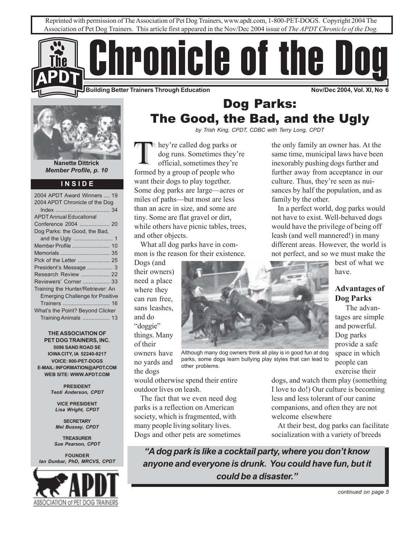



**Nanette Dittrick** *Member Profile, p. 10*

#### **I N S I D E**

| 2004 APDT Chronicle of the Dog         |  |  |
|----------------------------------------|--|--|
|                                        |  |  |
| <b>APDT Annual Educational</b>         |  |  |
| Conference 2004  20                    |  |  |
| Dog Parks: the Good, the Bad,          |  |  |
|                                        |  |  |
| Member Profile  10                     |  |  |
|                                        |  |  |
|                                        |  |  |
| President's Message  3                 |  |  |
| Research Review  22                    |  |  |
| Reviewers' Corner  33                  |  |  |
| Training the Hunter/Retriever: An      |  |  |
| <b>Emerging Challenge for Positive</b> |  |  |
|                                        |  |  |
| What's the Point? Beyond Clicker       |  |  |
| Training Animals  13                   |  |  |

**THE ASSOCIATION OF PET DOG TRAINERS, INC. 5096 SAND ROAD SE IOWA CITY, IA 52240-8217 VOICE: 800-PET-DOGS E-MAIL: INFORMATION@APDT.COM WEB SITE: WWW.APDT.COM**

> **PRESIDENT** *Teoti Anderson, CPDT*

**VICE PRESIDENT** *Lisa Wright, CPDT*

**SECRETARY** *Mel Bussey, CPDT*

**TREASURER** *Sue Pearson, CPDT*

**FOUNDER** *Ian Dunbar, PhD, MRCVS, CPDT*



# Dog Parks: The Good, the Bad, and the Ugly

*by Trish King, CPDT, CDBC with Terry Long, CPDT*

hey're called dog parks or dog runs. Sometimes they're official, sometimes they're formed by a group of people who want their dogs to play together. Some dog parks are large—acres or miles of paths—but most are less than an acre in size, and some are tiny. Some are flat gravel or dirt, while others have picnic tables, trees, and other objects. TT hey're called dog parks or<br>dog runs. Sometimes they're<br>official, sometimes they're<br>fixed by the only family an owner has. At the<br>inexpression times they're<br>fixed by pushing dogs further and

What all dog parks have in common is the reason for their existence.

Dogs (and their owners) need a place where they can run free, sans leashes, and do "doggie" things. Many of their

owners have no yards and the dogs

would otherwise spend their entire outdoor lives on leash.

The fact that we even need dog parks is a reflection on American society, which is fragmented, with many people living solitary lives. Dogs and other pets are sometimes same time, municipal laws have been inexorably pushing dogs further and further away from acceptance in our culture. Thus, they're seen as nuisances by half the population, and as family by the other.

In a perfect world, dog parks would not have to exist. Well-behaved dogs would have the privilege of being off leash (and well mannered!) in many different areas. However, the world is not perfect, and so we must make the

best of what we have.

# **Advantages of Dog Parks**

The advantages are simple and powerful. Dog parks provide a safe space in which people can exercise their

dogs, and watch them play (something I love to do!) Our culture is becoming less and less tolerant of our canine companions, and often they are not welcome elsewhere

At their best, dog parks can facilitate socialization with a variety of breeds

*"A dog park is like a cocktail party, where you don't know anyone and everyone is drunk. You could have fun, but it could be a disaster."*



Although many dog owners think all play is in good fun at dog parks, some dogs learn bullying play styles that can lead to other problems.

*continued on page 5*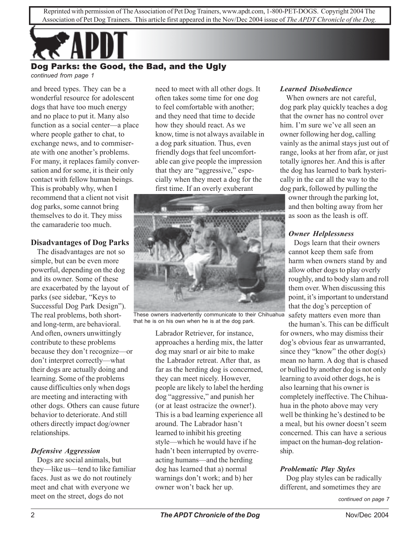

# Dog Parks: the Good, the Bad, and the Ugly

*continued from page 1*

and breed types. They can be a wonderful resource for adolescent dogs that have too much energy and no place to put it. Many also function as a social center—a place where people gather to chat, to exchange news, and to commiserate with one another's problems. For many, it replaces family conversation and for some, it is their only contact with fellow human beings. This is probably why, when I recommend that a client not visit dog parks, some cannot bring themselves to do it. They miss the camaraderie too much.

## **Disadvantages of Dog Parks**

The disadvantages are not so simple, but can be even more powerful, depending on the dog and its owner. Some of these are exacerbated by the layout of parks (see sidebar, "Keys to Successful Dog Park Design"). The real problems, both shortand long-term, are behavioral. And often, owners unwittingly contribute to these problems because they don't recognize—or don't interpret correctly—what their dogs are actually doing and learning. Some of the problems cause difficulties only when dogs are meeting and interacting with other dogs. Others can cause future behavior to deteriorate. And still others directly impact dog/owner relationships.

### *Defensive Aggression*

Dogs are social animals, but they—like us—tend to like familiar faces. Just as we do not routinely meet and chat with everyone we meet on the street, dogs do not

need to meet with all other dogs. It often takes some time for one dog to feel comfortable with another; and they need that time to decide how they should react. As we know, time is not always available in a dog park situation. Thus, even friendly dogs that feel uncomfortable can give people the impression that they are "aggressive," especially when they meet a dog for the first time. If an overly exuberant



These owners inadvertently communicate to their Chihuahua that he is on his own when he is at the dog park.

Labrador Retriever, for instance, approaches a herding mix, the latter dog may snarl or air bite to make the Labrador retreat. After that, as far as the herding dog is concerned, they can meet nicely. However, people are likely to label the herding dog "aggressive," and punish her (or at least ostracize the owner!). This is a bad learning experience all around. The Labrador hasn't learned to inhibit his greeting style—which he would have if he hadn't been interrupted by overreacting humans—and the herding dog has learned that a) normal warnings don't work; and b) her owner won't back her up.

## *Learned Disobedience*

When owners are not careful, dog park play quickly teaches a dog that the owner has no control over him. I'm sure we've all seen an owner following her dog, calling vainly as the animal stays just out of range, looks at her from afar, or just totally ignores her. And this is after the dog has learned to bark hysterically in the car all the way to the dog park, followed by pulling the

owner through the parking lot, and then bolting away from her as soon as the leash is off.

# *Owner Helplessness*

Dogs learn that their owners cannot keep them safe from harm when owners stand by and allow other dogs to play overly roughly, and to body slam and roll them over. When discussing this point, it's important to understand that the dog's perception of safety matters even more than

the human's. This can be difficult for owners, who may dismiss their dog's obvious fear as unwarranted, since they "know" the other dog(s) mean no harm. A dog that is chased or bullied by another dog is not only learning to avoid other dogs, he is also learning that his owner is completely ineffective. The Chihuahua in the photo above may very well be thinking he's destined to be a meal, but his owner doesn't seem concerned. This can have a serious impact on the human-dog relationship.

### *Problematic Play Styles*

Dog play styles can be radically different, and sometimes they are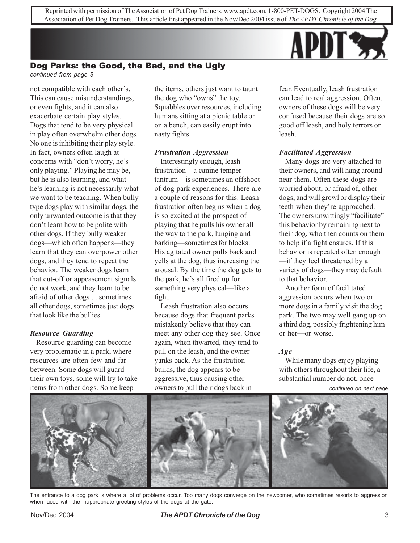

#### Dog Parks: the Good, the Bad, and the Ugly *continued from page 5*

not compatible with each other's. This can cause misunderstandings, or even fights, and it can also exacerbate certain play styles. Dogs that tend to be very physical in play often overwhelm other dogs. No one is inhibiting their play style. In fact, owners often laugh at concerns with "don't worry, he's only playing." Playing he may be, but he is also learning, and what he's learning is not necessarily what we want to be teaching. When bully type dogs play with similar dogs, the only unwanted outcome is that they don't learn how to be polite with other dogs. If they bully weaker dogs—which often happens—they learn that they can overpower other dogs, and they tend to repeat the behavior. The weaker dogs learn that cut-off or appeasement signals do not work, and they learn to be afraid of other dogs ... sometimes all other dogs, sometimes just dogs that look like the bullies.

#### *Resource Guarding*

Resource guarding can become very problematic in a park, where resources are often few and far between. Some dogs will guard their own toys, some will try to take items from other dogs. Some keep

the items, others just want to taunt the dog who "owns" the toy. Squabbles over resources, including humans sitting at a picnic table or on a bench, can easily erupt into nasty fights.

#### *Frustration Aggression*

Interestingly enough, leash frustration—a canine temper tantrum—is sometimes an offshoot of dog park experiences. There are a couple of reasons for this. Leash frustration often begins when a dog is so excited at the prospect of playing that he pulls his owner all the way to the park, lunging and barking—sometimes for blocks. His agitated owner pulls back and yells at the dog, thus increasing the arousal. By the time the dog gets to the park, he's all fired up for something very physical—like a fight.

Leash frustration also occurs because dogs that frequent parks mistakenly believe that they can meet any other dog they see. Once again, when thwarted, they tend to pull on the leash, and the owner yanks back. As the frustration builds, the dog appears to be aggressive, thus causing other owners to pull their dogs back in

fear. Eventually, leash frustration can lead to real aggression. Often, owners of these dogs will be very confused because their dogs are so good off leash, and holy terrors on leash.

#### *Facilitated Aggression*

Many dogs are very attached to their owners, and will hang around near them. Often these dogs are worried about, or afraid of, other dogs, and will growl or display their teeth when they're approached. The owners unwittingly "facilitate" this behavior by remaining next to their dog, who then counts on them to help if a fight ensures. If this behavior is repeated often enough —if they feel threatened by a variety of dogs—they may default to that behavior.

Another form of facilitated aggression occurs when two or more dogs in a family visit the dog park. The two may well gang up on a third dog, possibly frightening him or her—or worse.

#### *Age*

While many dogs enjoy playing with others throughout their life, a substantial number do not, once

*continued on next page*



The entrance to a dog park is where a lot of problems occur. Too many dogs converge on the newcomer, who sometimes resorts to aggression when faced with the inappropriate greeting styles of the dogs at the gate.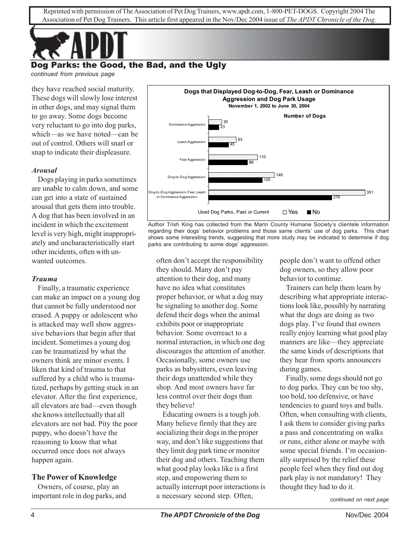

# Dog Parks: the Good, the Bad, and the Ugly

*continued from previous page*

they have reached social maturity. These dogs will slowly lose interest in other dogs, and may signal them to go away. Some dogs become very reluctant to go into dog parks, which—as we have noted—can be out of control. Others will snarl or snap to indicate their displeasure.

### *Arousal*

Dogs playing in parks sometimes are unable to calm down, and some can get into a state of sustained arousal that gets them into trouble. A dog that has been involved in an incident in which the excitement level is very high, might inappropriately and uncharacteristically start other incidents, often with unwanted outcomes.

### *Trauma*

Finally, a traumatic experience can make an impact on a young dog that cannot be fully understood nor erased. A puppy or adolescent who is attacked may well show aggressive behaviors that begin after that incident. Sometimes a young dog can be traumatized by what the owners think are minor events. I liken that kind of trauma to that suffered by a child who is traumatized, perhaps by getting stuck in an elevator. After the first experience, all elevators are bad—even though she knows intellectually that all elevators are not bad. Pity the poor puppy, who doesn't have the reasoning to know that what occurred once does not always happen again.

# **The Power of Knowledge**

Owners, of course, play an important role in dog parks, and



Author Trish King has collected from the Marin County Humane Society's clientele information regarding their dogs' behavior problems and those same clients' use of dog parks. This chart shows some interesting trends, suggesting that more study may be indicated to determine if dog parks are contributing to some dogs' aggression.

often don't accept the responsibility they should. Many don't pay attention to their dog, and many have no idea what constitutes proper behavior, or what a dog may be signaling to another dog. Some defend their dogs when the animal exhibits poor or inappropriate behavior. Some overreact to a normal interaction, in which one dog discourages the attention of another. Occasionally, some owners use parks as babysitters, even leaving their dogs unattended while they shop. And most owners have far less control over their dogs than they believe!

Educating owners is a tough job. Many believe firmly that they are socializing their dogs in the proper way, and don't like suggestions that they limit dog park time or monitor their dog and others. Teaching them what good play looks like is a first step, and empowering them to actually interrupt poor interactions is a necessary second step. Often,

people don't want to offend other dog owners, so they allow poor behavior to continue.

Trainers can help them learn by describing what appropriate interactions look like, possibly by narrating what the dogs are doing as two dogs play. I've found that owners really enjoy learning what good play manners are like—they appreciate the same kinds of descriptions that they hear from sports announcers during games.

Finally, some dogs should not go to dog parks. They can be too shy, too bold, too defensive, or have tendencies to guard toys and balls. Often, when consulting with clients, I ask them to consider giving parks a pass and concentrating on walks or runs, either alone or maybe with some special friends. I'm occasionally surprised by the relief these people feel when they find out dog park play is not mandatory! They thought they had to do it.

*continued on next page*